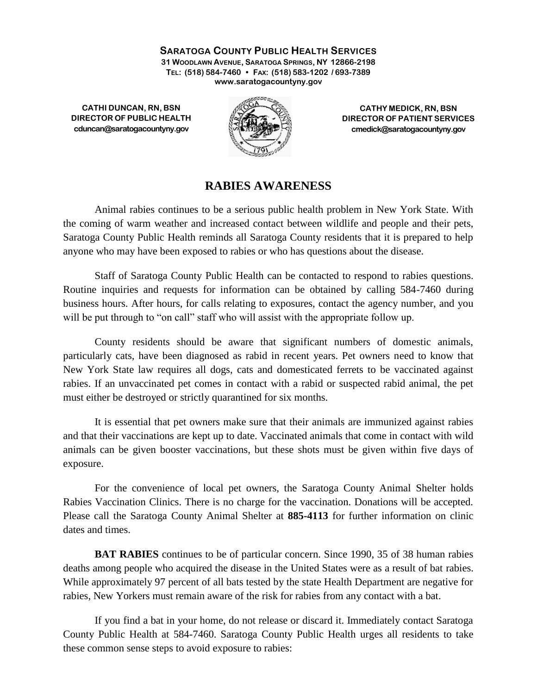**SARATOGA COUNTY PUBLIC HEALTH SERVICES 31 WOODLAWN AVENUE, SARATOGA SPRINGS, NY 12866-2198 TEL: (518) 584-7460 • FAX: (518) 583-1202 / 693-7389 www.saratogacountyny.gov**

**CATHI DUNCAN, RN, BSN DIRECTOR OF PUBLIC HEALTH cduncan@saratogacountyny.gov**



**CATHY MEDICK, RN, BSN DIRECTOR OF PATIENT SERVICES cmedick@saratogacountyny.gov**

## **RABIES AWARENESS**

Animal rabies continues to be a serious public health problem in New York State. With the coming of warm weather and increased contact between wildlife and people and their pets, Saratoga County Public Health reminds all Saratoga County residents that it is prepared to help anyone who may have been exposed to rabies or who has questions about the disease.

Staff of Saratoga County Public Health can be contacted to respond to rabies questions. Routine inquiries and requests for information can be obtained by calling 584-7460 during business hours. After hours, for calls relating to exposures, contact the agency number, and you will be put through to "on call" staff who will assist with the appropriate follow up.

County residents should be aware that significant numbers of domestic animals, particularly cats, have been diagnosed as rabid in recent years. Pet owners need to know that New York State law requires all dogs, cats and domesticated ferrets to be vaccinated against rabies. If an unvaccinated pet comes in contact with a rabid or suspected rabid animal, the pet must either be destroyed or strictly quarantined for six months.

It is essential that pet owners make sure that their animals are immunized against rabies and that their vaccinations are kept up to date. Vaccinated animals that come in contact with wild animals can be given booster vaccinations, but these shots must be given within five days of exposure.

For the convenience of local pet owners, the Saratoga County Animal Shelter holds Rabies Vaccination Clinics. There is no charge for the vaccination. Donations will be accepted. Please call the Saratoga County Animal Shelter at **885-4113** for further information on clinic dates and times.

**BAT RABIES** continues to be of particular concern. Since 1990, 35 of 38 human rabies deaths among people who acquired the disease in the United States were as a result of bat rabies. While approximately 97 percent of all bats tested by the state Health Department are negative for rabies, New Yorkers must remain aware of the risk for rabies from any contact with a bat.

If you find a bat in your home, do not release or discard it. Immediately contact Saratoga County Public Health at 584-7460. Saratoga County Public Health urges all residents to take these common sense steps to avoid exposure to rabies: